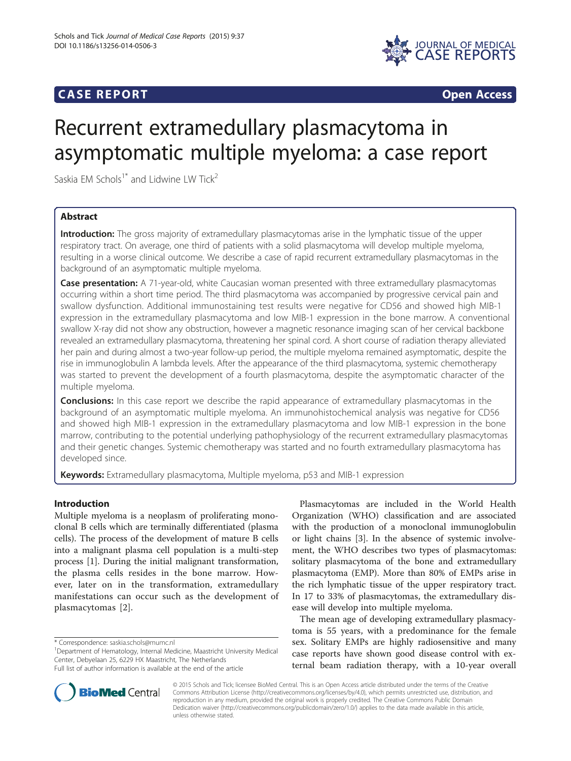# **CASE REPORT CASE REPORT**



# Recurrent extramedullary plasmacytoma in asymptomatic multiple myeloma: a case report

Saskia EM Schols<sup>1\*</sup> and Lidwine LW Tick<sup>2</sup>

# Abstract

Introduction: The gross majority of extramedullary plasmacytomas arise in the lymphatic tissue of the upper respiratory tract. On average, one third of patients with a solid plasmacytoma will develop multiple myeloma, resulting in a worse clinical outcome. We describe a case of rapid recurrent extramedullary plasmacytomas in the background of an asymptomatic multiple myeloma.

Case presentation: A 71-year-old, white Caucasian woman presented with three extramedullary plasmacytomas occurring within a short time period. The third plasmacytoma was accompanied by progressive cervical pain and swallow dysfunction. Additional immunostaining test results were negative for CD56 and showed high MIB-1 expression in the extramedullary plasmacytoma and low MIB-1 expression in the bone marrow. A conventional swallow X-ray did not show any obstruction, however a magnetic resonance imaging scan of her cervical backbone revealed an extramedullary plasmacytoma, threatening her spinal cord. A short course of radiation therapy alleviated her pain and during almost a two-year follow-up period, the multiple myeloma remained asymptomatic, despite the rise in immunoglobulin A lambda levels. After the appearance of the third plasmacytoma, systemic chemotherapy was started to prevent the development of a fourth plasmacytoma, despite the asymptomatic character of the multiple myeloma.

**Conclusions:** In this case report we describe the rapid appearance of extramedullary plasmacytomas in the background of an asymptomatic multiple myeloma. An immunohistochemical analysis was negative for CD56 and showed high MIB-1 expression in the extramedullary plasmacytoma and low MIB-1 expression in the bone marrow, contributing to the potential underlying pathophysiology of the recurrent extramedullary plasmacytomas and their genetic changes. Systemic chemotherapy was started and no fourth extramedullary plasmacytoma has developed since.

Keywords: Extramedullary plasmacytoma, Multiple myeloma, p53 and MIB-1 expression

# Introduction

Multiple myeloma is a neoplasm of proliferating monoclonal B cells which are terminally differentiated (plasma cells). The process of the development of mature B cells into a malignant plasma cell population is a multi-step process [[1\]](#page-5-0). During the initial malignant transformation, the plasma cells resides in the bone marrow. However, later on in the transformation, extramedullary manifestations can occur such as the development of plasmacytomas [[2](#page-5-0)].

\* Correspondence: [saskia.schols@mumc.nl](mailto:saskia.schols@mumc.nl) <sup>1</sup>

Department of Hematology, Internal Medicine, Maastricht University Medical Center, Debyelaan 25, 6229 HX Maastricht, The Netherlands Full list of author information is available at the end of the article

The mean age of developing extramedullary plasmacytoma is 55 years, with a predominance for the female sex. Solitary EMPs are highly radiosensitive and many case reports have shown good disease control with external beam radiation therapy, with a 10-year overall



© 2015 Schols and Tick; licensee BioMed Central. This is an Open Access article distributed under the terms of the Creative Commons Attribution License [\(http://creativecommons.org/licenses/by/4.0\)](http://creativecommons.org/licenses/by/4.0), which permits unrestricted use, distribution, and reproduction in any medium, provided the original work is properly credited. The Creative Commons Public Domain Dedication waiver [\(http://creativecommons.org/publicdomain/zero/1.0/](http://creativecommons.org/publicdomain/zero/1.0/)) applies to the data made available in this article, unless otherwise stated.

Plasmacytomas are included in the World Health Organization (WHO) classification and are associated with the production of a monoclonal immunoglobulin or light chains [[3\]](#page-5-0). In the absence of systemic involvement, the WHO describes two types of plasmacytomas: solitary plasmacytoma of the bone and extramedullary plasmacytoma (EMP). More than 80% of EMPs arise in the rich lymphatic tissue of the upper respiratory tract. In 17 to 33% of plasmacytomas, the extramedullary disease will develop into multiple myeloma.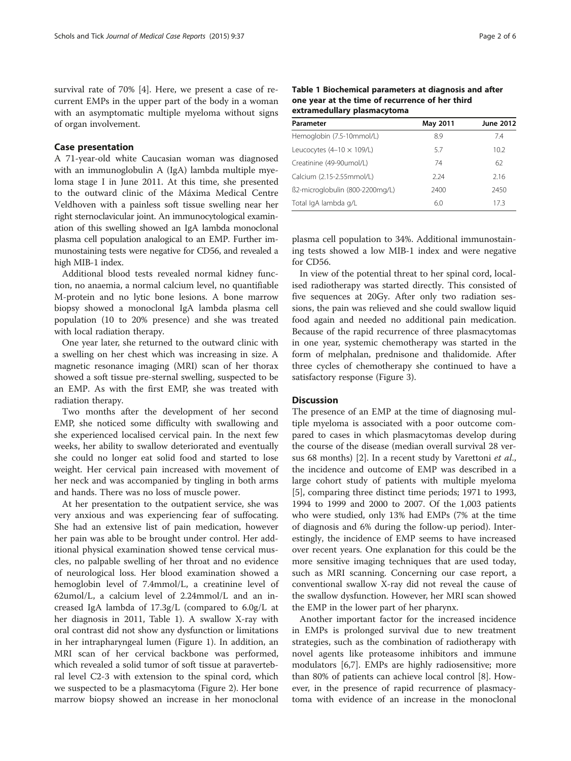survival rate of 70% [[4\]](#page-5-0). Here, we present a case of recurrent EMPs in the upper part of the body in a woman with an asymptomatic multiple myeloma without signs of organ involvement.

#### Case presentation

A 71-year-old white Caucasian woman was diagnosed with an immunoglobulin A (IgA) lambda multiple myeloma stage I in June 2011. At this time, she presented to the outward clinic of the Máxima Medical Centre Veldhoven with a painless soft tissue swelling near her right sternoclavicular joint. An immunocytological examination of this swelling showed an IgA lambda monoclonal plasma cell population analogical to an EMP. Further immunostaining tests were negative for CD56, and revealed a high MIB-1 index.

Additional blood tests revealed normal kidney function, no anaemia, a normal calcium level, no quantifiable M-protein and no lytic bone lesions. A bone marrow biopsy showed a monoclonal IgA lambda plasma cell population (10 to 20% presence) and she was treated with local radiation therapy.

One year later, she returned to the outward clinic with a swelling on her chest which was increasing in size. A magnetic resonance imaging (MRI) scan of her thorax showed a soft tissue pre-sternal swelling, suspected to be an EMP. As with the first EMP, she was treated with radiation therapy.

Two months after the development of her second EMP, she noticed some difficulty with swallowing and she experienced localised cervical pain. In the next few weeks, her ability to swallow deteriorated and eventually she could no longer eat solid food and started to lose weight. Her cervical pain increased with movement of her neck and was accompanied by tingling in both arms and hands. There was no loss of muscle power.

At her presentation to the outpatient service, she was very anxious and was experiencing fear of suffocating. She had an extensive list of pain medication, however her pain was able to be brought under control. Her additional physical examination showed tense cervical muscles, no palpable swelling of her throat and no evidence of neurological loss. Her blood examination showed a hemoglobin level of 7.4mmol/L, a creatinine level of 62umol/L, a calcium level of 2.24mmol/L and an increased IgA lambda of 17.3g/L (compared to 6.0g/L at her diagnosis in 2011, Table 1). A swallow X-ray with oral contrast did not show any dysfunction or limitations in her intrapharyngeal lumen (Figure [1\)](#page-2-0). In addition, an MRI scan of her cervical backbone was performed, which revealed a solid tumor of soft tissue at paravertebral level C2-3 with extension to the spinal cord, which we suspected to be a plasmacytoma (Figure [2](#page-3-0)). Her bone marrow biopsy showed an increase in her monoclonal Table 1 Biochemical parameters at diagnosis and after one year at the time of recurrence of her third extramedullary plasmacytoma

| Parameter                        | May 2011 | <b>June 2012</b> |
|----------------------------------|----------|------------------|
| Hemoglobin (7.5-10mmol/L)        | 8.9      | 7.4              |
| Leucocytes $(4-10 \times 109/L)$ | 5.7      | 10.2             |
| Creatinine (49-90umol/L)         | 74       | 62               |
| Calcium (2.15-2.55mmol/L)        | 2.24     | 2.16             |
| ß2-microglobulin (800-2200mg/L)  | 2400     | 2450             |
| Total IgA lambda g/L             | 6.0      | 173              |

plasma cell population to 34%. Additional immunostaining tests showed a low MIB-1 index and were negative for CD56.

In view of the potential threat to her spinal cord, localised radiotherapy was started directly. This consisted of five sequences at 20Gy. After only two radiation sessions, the pain was relieved and she could swallow liquid food again and needed no additional pain medication. Because of the rapid recurrence of three plasmacytomas in one year, systemic chemotherapy was started in the form of melphalan, prednisone and thalidomide. After three cycles of chemotherapy she continued to have a satisfactory response (Figure [3\)](#page-4-0).

#### **Discussion**

The presence of an EMP at the time of diagnosing multiple myeloma is associated with a poor outcome compared to cases in which plasmacytomas develop during the course of the disease (median overall survival 28 ver-sus 68 months) [[2](#page-5-0)]. In a recent study by Varettoni et al., the incidence and outcome of EMP was described in a large cohort study of patients with multiple myeloma [[5\]](#page-5-0), comparing three distinct time periods; 1971 to 1993, 1994 to 1999 and 2000 to 2007. Of the 1,003 patients who were studied, only 13% had EMPs (7% at the time of diagnosis and 6% during the follow-up period). Interestingly, the incidence of EMP seems to have increased over recent years. One explanation for this could be the more sensitive imaging techniques that are used today, such as MRI scanning. Concerning our case report, a conventional swallow X-ray did not reveal the cause of the swallow dysfunction. However, her MRI scan showed the EMP in the lower part of her pharynx.

Another important factor for the increased incidence in EMPs is prolonged survival due to new treatment strategies, such as the combination of radiotherapy with novel agents like proteasome inhibitors and immune modulators [[6,7\]](#page-5-0). EMPs are highly radiosensitive; more than 80% of patients can achieve local control [[8\]](#page-5-0). However, in the presence of rapid recurrence of plasmacytoma with evidence of an increase in the monoclonal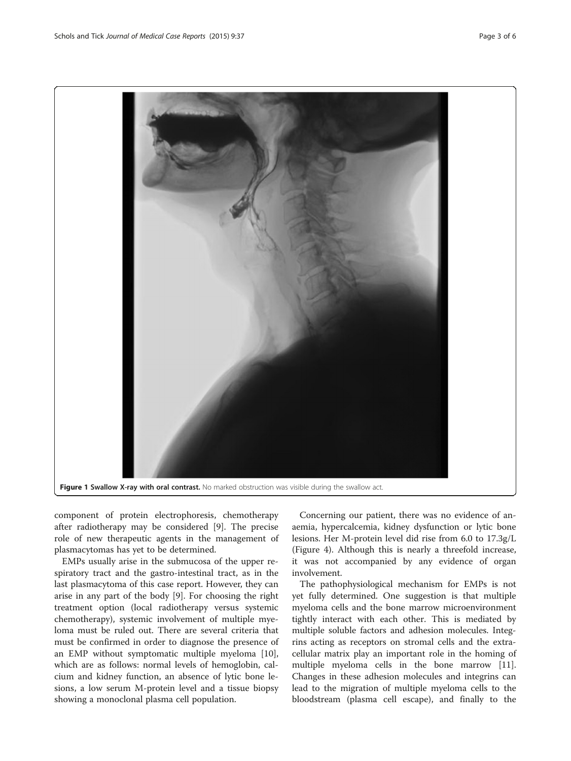<span id="page-2-0"></span>

component of protein electrophoresis, chemotherapy after radiotherapy may be considered [[9\]](#page-5-0). The precise role of new therapeutic agents in the management of plasmacytomas has yet to be determined.

EMPs usually arise in the submucosa of the upper respiratory tract and the gastro-intestinal tract, as in the last plasmacytoma of this case report. However, they can arise in any part of the body [\[9](#page-5-0)]. For choosing the right treatment option (local radiotherapy versus systemic chemotherapy), systemic involvement of multiple myeloma must be ruled out. There are several criteria that must be confirmed in order to diagnose the presence of an EMP without symptomatic multiple myeloma [\[10](#page-5-0)], which are as follows: normal levels of hemoglobin, calcium and kidney function, an absence of lytic bone lesions, a low serum M-protein level and a tissue biopsy showing a monoclonal plasma cell population.

Concerning our patient, there was no evidence of anaemia, hypercalcemia, kidney dysfunction or lytic bone lesions. Her M-protein level did rise from 6.0 to 17.3g/L (Figure [4\)](#page-4-0). Although this is nearly a threefold increase, it was not accompanied by any evidence of organ involvement.

The pathophysiological mechanism for EMPs is not yet fully determined. One suggestion is that multiple myeloma cells and the bone marrow microenvironment tightly interact with each other. This is mediated by multiple soluble factors and adhesion molecules. Integrins acting as receptors on stromal cells and the extracellular matrix play an important role in the homing of multiple myeloma cells in the bone marrow [\[11](#page-5-0)]. Changes in these adhesion molecules and integrins can lead to the migration of multiple myeloma cells to the bloodstream (plasma cell escape), and finally to the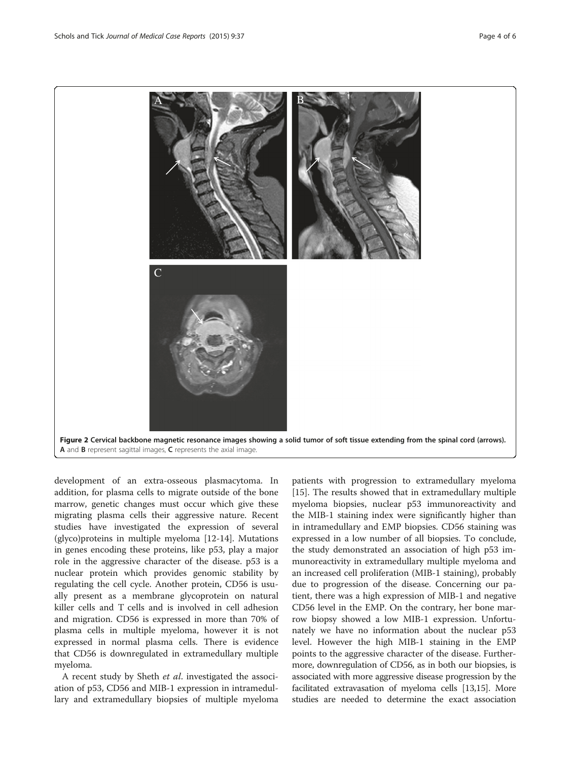<span id="page-3-0"></span>

development of an extra-osseous plasmacytoma. In addition, for plasma cells to migrate outside of the bone marrow, genetic changes must occur which give these migrating plasma cells their aggressive nature. Recent studies have investigated the expression of several (glyco)proteins in multiple myeloma [\[12-14](#page-5-0)]. Mutations in genes encoding these proteins, like p53, play a major role in the aggressive character of the disease. p53 is a nuclear protein which provides genomic stability by regulating the cell cycle. Another protein, CD56 is usually present as a membrane glycoprotein on natural killer cells and T cells and is involved in cell adhesion and migration. CD56 is expressed in more than 70% of plasma cells in multiple myeloma, however it is not expressed in normal plasma cells. There is evidence that CD56 is downregulated in extramedullary multiple myeloma.

A recent study by Sheth et al. investigated the association of p53, CD56 and MIB-1 expression in intramedullary and extramedullary biopsies of multiple myeloma

patients with progression to extramedullary myeloma [[15\]](#page-5-0). The results showed that in extramedullary multiple myeloma biopsies, nuclear p53 immunoreactivity and the MIB-1 staining index were significantly higher than in intramedullary and EMP biopsies. CD56 staining was expressed in a low number of all biopsies. To conclude, the study demonstrated an association of high p53 immunoreactivity in extramedullary multiple myeloma and an increased cell proliferation (MIB-1 staining), probably due to progression of the disease. Concerning our patient, there was a high expression of MIB-1 and negative CD56 level in the EMP. On the contrary, her bone marrow biopsy showed a low MIB-1 expression. Unfortunately we have no information about the nuclear p53 level. However the high MIB-1 staining in the EMP points to the aggressive character of the disease. Furthermore, downregulation of CD56, as in both our biopsies, is associated with more aggressive disease progression by the facilitated extravasation of myeloma cells [\[13,15](#page-5-0)]. More studies are needed to determine the exact association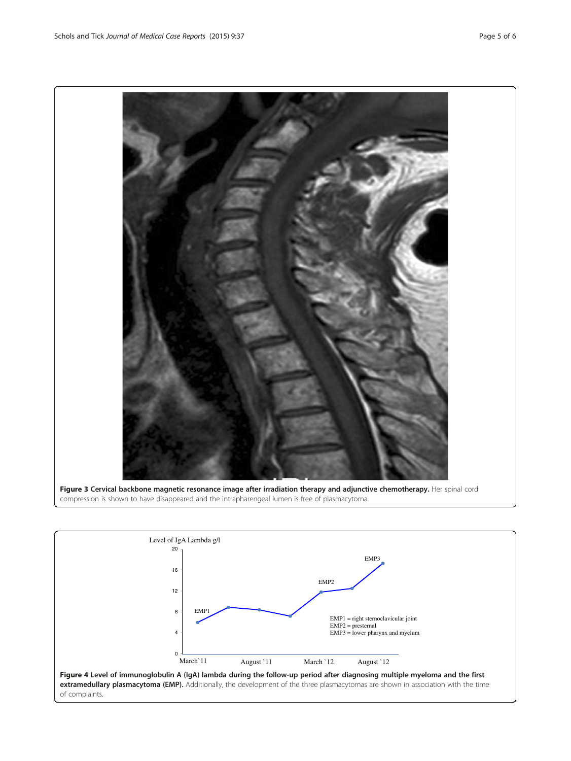<span id="page-4-0"></span>